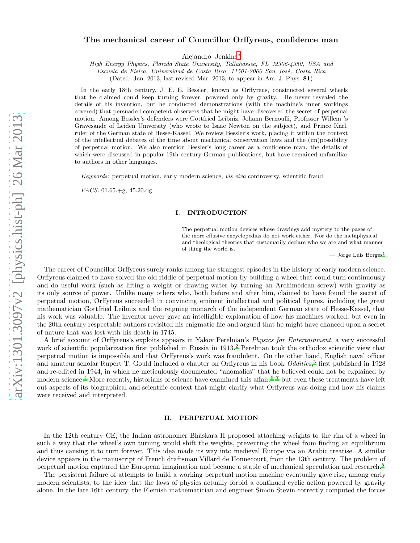# The mechanical career of Councillor Orffyreus, confidence man

Alejandro Jenkins[∗](#page-6-0)

High Energy Physics, Florida State University, Tallahassee, FL 32306-4350, USA and

Escuela de Física, Universidad de Costa Rica, 11501-2060 San José, Costa Rica

(Dated: Jan. 2013, last revised Mar. 2013; to appear in Am. J. Phys. 81)

In the early 18th century, J. E. E. Bessler, known as Orffyreus, constructed several wheels that he claimed could keep turning forever, powered only by gravity. He never revealed the details of his invention, but he conducted demonstrations (with the machine's inner workings covered) that persuaded competent observers that he might have discovered the secret of perpetual motion. Among Bessler's defenders were Gottfried Leibniz, Johann Bernoulli, Professor Willem 's Gravesande of Leiden University (who wrote to Isaac Newton on the subject), and Prince Karl, ruler of the German state of Hesse-Kassel. We review Bessler's work, placing it within the context of the intellectual debates of the time about mechanical conservation laws and the (im)possibility of perpetual motion. We also mention Bessler's long career as a confidence man, the details of which were discussed in popular 19th-century German publications, but have remained unfamiliar to authors in other languages.

Keywords: perpetual motion, early modern science, vis viva controversy, scientific fraud

PACS: 01.65.+g, 45.20.dg

#### I. INTRODUCTION

The perpetual motion devices whose drawings add mystery to the pages of the more effusive encyclopedias do not work either. Nor do the metaphysical and theological theories that customarily declare who we are and what manner of thing the world is.

— Jorge Lui[s](#page-6-1) Borges<sup>1</sup>

The career of Councillor Orffyreus surely ranks among the strangest episodes in the history of early modern science. Orffyreus claimed to have solved the old riddle of perpetual motion by building a wheel that could turn continuously and do useful work (such as lifting a weight or drawing water by turning an Archimedean screw) with gravity as its only source of power. Unlike many others who, both before and after him, claimed to have found the secret of perpetual motion, Orffyreus succeeded in convincing eminent intellectual and political figures, including the great mathematician Gottfried Leibniz and the reigning monarch of the independent German state of Hesse-Kassel, that his work was valuable. The inventor never gave an intelligible explanation of how his machines worked, but even in the 20th century respectable authors revisited his enigmatic life and argued that he might have chanced upon a secret of nature that was lost with his death in 1745.

A brief account of Orffyreus's exploits appears in Yakov Perelman's Physics for Entertainment, a very successful work of scientific popularization first published in Russia in 1913.<sup>[2](#page-6-2)</sup> Perelman took the orthodox scientific view that perpetual motion is impossible and that Orffyreus's work was fraudulent. On the other hand, English naval officer and amateur scholar Rupert T. Gould included a chapter on Orffyreus in his book Oddities,<sup>[3](#page-6-3)</sup> first published in 1928 and re-edited in 1944, in which he meticulously documented "anomalies" that he believed could not be explained by modern science.<sup>[4](#page-7-0)</sup> More recently, historians of science have examined this affair,  $5^{-7}$  $5^{-7}$  but even these treatments have left out aspects of its biographical and scientific context that might clarify what Orffyreus was doing and how his claims were received and interpreted.

### II. PERPETUAL MOTION

In the 12th century CE, the Indian astronomer Bhaskara II proposed attaching weights to the rim of a wheel in such a way that the wheel's own turning would shift the weights, preventing the wheel from finding an equilibrium and thus causing it to turn forever. This idea made its way into medieval Europe via an Arabic treatise. A similar device appears in the manuscript of French draftsman Villard de Honnecourt, from the 13th century. The problem of perpetual motion captured the European imagination and became a staple of mechanical speculation and research[.](#page-7-3)<sup>8</sup>

The persistent failure of attempts to build a working perpetual motion machine eventually gave rise, among early modern scientists, to the idea that the laws of physics actually forbid a continued cyclic action powered by gravity alone. In the late 16th century, the Flemish mathematician and engineer Simon Stevin correctly computed the forces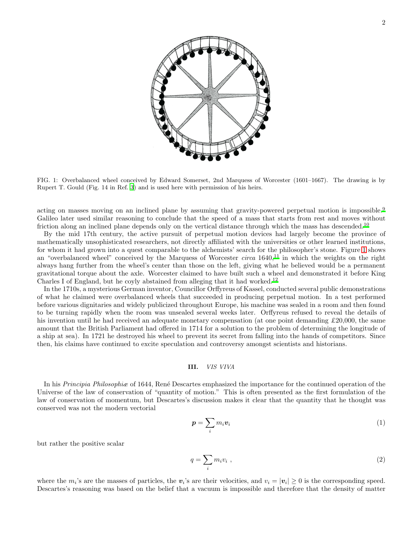

<span id="page-1-0"></span>FIG. 1: Overbalanced wheel conceived by Edward Somerset, 2nd Marquess of Worcester (1601–1667). The drawing is by Rupert T. Gould (Fig. 14 in Ref. [3\)](#page-6-3) and is used here with permission of his heirs.

acting on masses moving on an inclined plane by assuming that gravity-powered perpetual motion is impossible.<sup>[9](#page-7-4)</sup> Galileo later used similar reasoning to conclude that the speed of a mass that starts from rest and moves without friction along an inclined plane depends only on the vertical distance through which the mass has descended.<sup>[10](#page-7-5)</sup>

By the mid 17th century, the active pursuit of perpetual motion devices had largely become the province of mathematically unsophisticated researchers, not directly affiliated with the universities or other learned institutions, for whom it had grown into a quest comparable to the alchemists' search for the philosopher's stone. Figure [1](#page-1-0) shows an "overbalanced wheel" conceived by the Marquess of Worcester *circa*  $1640$ ,<sup>[11](#page-7-6)</sup> in which the weights on the right always hang further from the wheel's center than those on the left, giving what he believed would be a permanent gravitational torque about the axle. Worcester claimed to have built such a wheel and demonstrated it before King Charles I of England, but he coyly abstained from alleging that it had worked.<sup>[12](#page-7-7)</sup>

In the 1710s, a mysterious German inventor, Councillor Orffyreus of Kassel, conducted several public demonstrations of what he claimed were overbalanced wheels that succeeded in producing perpetual motion. In a test performed before various dignitaries and widely publicized throughout Europe, his machine was sealed in a room and then found to be turning rapidly when the room was unsealed several weeks later. Orffyreus refused to reveal the details of his invention until he had received an adequate monetary compensation (at one point demanding £20,000, the same amount that the British Parliament had offered in 1714 for a solution to the problem of determining the longitude of a ship at sea). In 1721 he destroyed his wheel to prevent its secret from falling into the hands of competitors. Since then, his claims have continued to excite speculation and controversy amongst scientists and historians.

### III. VIS VIVA

In his Principia Philosophia of 1644, René Descartes emphasized the importance for the continued operation of the Universe of the law of conservation of "quantity of motion." This is often presented as the first formulation of the law of conservation of momentum, but Descartes's discussion makes it clear that the quantity that he thought was conserved was not the modern vectorial

<span id="page-1-2"></span>
$$
\boldsymbol{p} = \sum_{i} m_i \boldsymbol{v}_i \tag{1}
$$

but rather the positive scalar

<span id="page-1-1"></span>
$$
q = \sum_{i} m_i v_i \tag{2}
$$

where the  $m_i$ 's are the masses of particles, the  $v_i$ 's are their velocities, and  $v_i = |v_i| \ge 0$  is the corresponding speed. Descartes's reasoning was based on the belief that a vacuum is impossible and therefore that the density of matter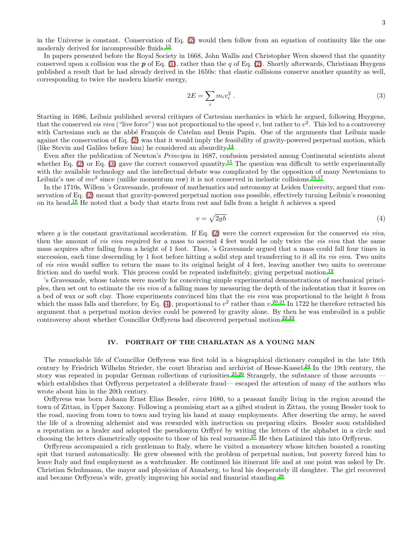in the Universe is constant. Conservation of Eq. [\(2\)](#page-1-1) would then follow from an equation of continuity like the one modernly derived for incompressible fluids.<sup>[13](#page-7-8)</sup>

In papers presented before the Royal Society in 1668, John Wallis and Christopher Wren showed that the quantity conserved upon a collision was the  $p$  of Eq. [\(1\)](#page-1-2), rather than the q of Eq. [\(2\)](#page-1-1). Shortly afterwards, Christiaan Huygens published a result that he had already derived in the 1650s: that elastic collisions conserve another quantity as well, corresponding to twice the modern kinetic energy,

<span id="page-2-0"></span>
$$
2E = \sum_{i} m_i v_i^2 \tag{3}
$$

Starting in 1686, Leibniz published several critiques of Cartesian mechanics in which he argued, following Huygens, that the conserved vis viva ("live force") was not proportional to the speed v, but rather to  $v^2$ . This led to a controversy with Cartesians such as the abbé François de Catelan and Denis Papin. One of the arguments that Leibniz made against the conservation of Eq. [\(2\)](#page-1-1) was that it would imply the feasibility of gravity-powered perpetual motion, which (like Stevin and Galileo before him) he considered an absurdity[.](#page-7-9)  $^{14}$ 

Even after the publication of Newton's Principia in 1687, confusion persisted among Continental scientists about whether Eq.  $(2)$  or Eq.  $(3)$  gave the correct conserved quantity.<sup>[15](#page-7-10)</sup> The question was difficult to settle experimentally with the available technology and the intellectual debate was complicated by the opposition of many Newtonians to Leibniz's use of  $mv^2$  since (unlike momentum  $mv$ ) it is not conserved in inelastic collisions.<sup>[16](#page-7-11)[,17](#page-7-12)</sup>

In the 1710s, Willem 's Gravesande, professor of mathematics and astronomy at Leiden University, argued that conservation of Eq. [\(2\)](#page-1-1) meant that gravity-powered perpetual motion was possible, effectively turning Leibniz's reasoning on its head.<sup>[18](#page-7-13)</sup> He noted that a body that starts from rest and falls from a height  $h$  achieves a speed

<span id="page-2-1"></span>
$$
v = \sqrt{2gh} \tag{4}
$$

where q is the constant gravitational acceleration. If Eq.  $(2)$  were the correct expression for the conserved *vis viva*, then the amount of *vis viva* required for a mass to ascend 4 feet would be only twice the *vis viva* that the same mass acquires after falling from a height of 1 foot. Thus, 's Gravesande argued that a mass could fall four times in succession, each time descending by 1 foot before hitting a solid step and transferring to it all its *vis viva*. Two units of vis viva would suffice to return the mass to its original height of 4 feet, leaving another two units to overcome friction and do useful work. This process could be repeated indefinitely, giving perpetual motion.[19](#page-7-14)

's Gravesande, whose talents were mostly for conceiving simple experimental demonstrations of mechanical principles, then set out to estimate the vis viva of a falling mass by measuring the depth of the indentation that it leaves on a bed of wax or soft clay. Those experiments convinced him that the vis viva was proportional to the height h from which the mass falls and therefore, by Eq. [\(4\)](#page-2-1), proportional to  $v^2$  rather than  $v^{20,21}$  $v^{20,21}$  $v^{20,21}$  $v^{20,21}$  In 1722 he therefore retracted his argument that a perpetual motion device could be powered by gravity alone. By then he was embroiled in a public controversy about whether Councillor Orffyreus had discovered perpetual motion.<sup>[22](#page-7-17)[,23](#page-7-18)</sup>

## IV. PORTRAIT OF THE CHARLATAN AS A YOUNG MAN

The remarkable life of Councillor Orffyreus was first told in a biographical dictionary compiled in the late 18th century by Friedrich Wilhelm Strieder, the court librarian and archivist of Hesse-Kassel.[24](#page-7-19) In the 19th century, the story was repeated in popular German collections of curiosities.<sup>[25](#page-7-20)[,26](#page-7-21)</sup> Strangely, the substance of those accounts  $$ which establishes that Orffyreus perpetrated a deliberate fraud— escaped the attention of many of the authors who wrote about him in the 20th century.

Orffyreus was born Johann Ernst Elias Bessler, circa 1680, to a peasant family living in the region around the town of Zittau, in Upper Saxony. Following a promising start as a gifted student in Zittau, the young Bessler took to the road, moving from town to town and trying his hand at many employments. After deserting the army, he saved the life of a drowning alchemist and was rewarded with instruction on preparing elixirs. Bessler soon established a reputation as a healer and adopted the pseudonym Orffyre<sup>t</sup> by writing the letters of the alphabet in a circle and choosing the letters diametrically opposite to those of his real surname.<sup>[27](#page-7-22)</sup> He then Latinized this into Orffyreus.

Orffyreus accompanied a rich gentleman to Italy, where he visited a monastery whose kitchen boasted a roasting spit that turned automatically. He grew obsessed with the problem of perpetual motion, but poverty forced him to leave Italy and find employment as a watchmaker. He continued his itinerant life and at one point was asked by Dr. Christian Schuhmann, the mayor and physician of Annaberg, to heal his desperately ill daughter. The girl recovered and became Orffyreus's wife, greatly improving his social and financial standing.<sup>[28](#page-8-0)</sup>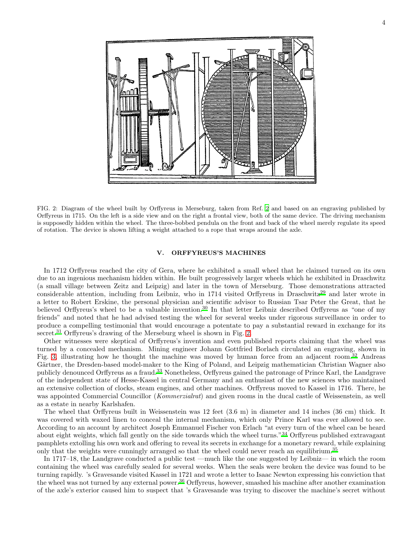

<span id="page-3-0"></span>FIG. 2: Diagram of the wheel built by Orffyreus in Merseburg, taken from Ref. [2](#page-6-2) and based on an engraving published by Orffyreus in 1715. On the left is a side view and on the right a frontal view, both of the same device. The driving mechanism is supposedly hidden within the wheel. The three-bobbed pendula on the front and back of the wheel merely regulate its speed of rotation. The device is shown lifting a weight attached to a rope that wraps around the axle.

## V. ORFFYREUS'S MACHINES

In 1712 Orffyreus reached the city of Gera, where he exhibited a small wheel that he claimed turned on its own due to an ingenious mechanism hidden within. He built progressively larger wheels which he exhibited in Draschwitz (a small village between Zeitz and Leipzig) and later in the town of Merseburg. Those demonstrations attracted considerable attention, including from Leibniz, who in 1714 visited Orffyreus in Draschwitz<sup>[29](#page-8-1)</sup> and later wrote in a letter to Robert Erskine, the personal physician and scientific advisor to Russian Tsar Peter the Great, that he believed Orffyreus's wheel to be a valuable invention.<sup>[30](#page-8-2)</sup> In that letter Leibniz described Orffyreus as "one of my friends" and noted that he had advised testing the wheel for several weeks under rigorous surveillance in order to produce a compelling testimonial that would encourage a potentate to pay a substantial reward in exchange for its secret.<sup>[31](#page-8-3)</sup> Orffyreus's drawing of the Merseburg wheel is shown in Fig. [2.](#page-3-0)

Other witnesses were skeptical of Orffyreus's invention and even published reports claiming that the wheel was turned by a concealed mechanism. Mining engineer Johann Gottfried Borlach circulated an engraving, shown in Fig. [3,](#page-4-0) illustrating how he thought the machine was moved by human force from an adjacent room.<sup>[32](#page-8-4)</sup> Andreas Gärtner, the Dresden-based model-maker to the King of Poland, and Leipzig mathematician Christian Wagner also publicly denounced Orffyreus as a fraud.[33](#page-8-5) Nonetheless, Orffyreus gained the patronage of Prince Karl, the Landgrave of the independent state of Hesse-Kassel in central Germany and an enthusiast of the new sciences who maintained an extensive collection of clocks, steam engines, and other machines. Orffyreus moved to Kassel in 1716. There, he was appointed Commercial Councillor (*Kommerzialrat*) and given rooms in the ducal castle of Weissenstein, as well as a estate in nearby Karlshafen.

The wheel that Orffyreus built in Weissenstein was 12 feet (3.6 m) in diameter and 14 inches (36 cm) thick. It was covered with waxed linen to conceal the internal mechanism, which only Prince Karl was ever allowed to see. According to an account by architect Joseph Emmanuel Fischer von Erlach "at every turn of the wheel can be heard about eight weights, which fall gently on the side towards which the wheel turns."[34](#page-8-6) Orffyreus published extravagant pamphlets extolling his own work and offering to reveal its secrets in exchange for a monetary reward, while explaining only that the weights were cunningly arranged so that the wheel could never reach an equilibrium.<sup>[35](#page-8-7)</sup>

In 1717–18, the Landgrave conducted a public test —much like the one suggested by Leibniz— in which the room containing the wheel was carefully sealed for several weeks. When the seals were broken the device was found to be turning rapidly. 's Gravesande visited Kassel in 1721 and wrote a letter to Isaac Newton expressing his conviction that the wheel was not turned by any external power.<sup>[36](#page-8-8)</sup> Orffyreus, however, smashed his machine after another examination of the axle's exterior caused him to suspect that 's Gravesande was trying to discover the machine's secret without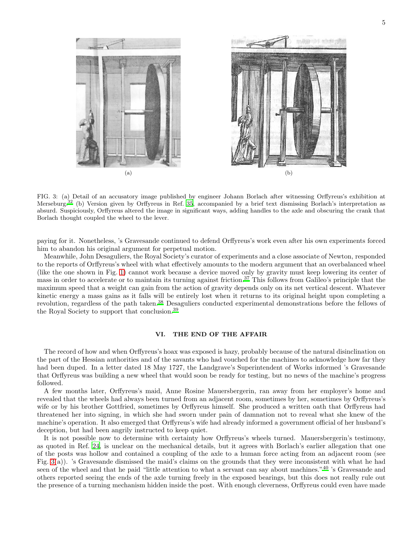

<span id="page-4-0"></span>FIG. 3: (a) Detail of an accusatory image published by engineer Johann Borlach after witnessing Orffyreus's exhibition at Merseburg[.](#page-8-4)<sup>32</sup> (b) Version given by Orffyreus in Ref. [35](#page-8-7), accompanied by a brief text dismissing Borlach's interpretation as absurd. Suspiciously, Orffyreus altered the image in significant ways, adding handles to the axle and obscuring the crank that Borlach thought coupled the wheel to the lever.

paying for it. Nonetheless, 's Gravesande continued to defend Orffyreus's work even after his own experiments forced him to abandon his original argument for perpetual motion.

Meanwhile, John Desaguliers, the Royal Society's curator of experiments and a close associate of Newton, responded to the reports of Orffyreus's wheel with what effectively amounts to the modern argument that an overbalanced wheel (like the one shown in Fig. [1\)](#page-1-0) cannot work because a device moved only by gravity must keep lowering its center of mass in order to accelerate or to maintain its turning against friction. [37](#page-8-9) This follows from Galileo's principle that the maximum speed that a weight can gain from the action of gravity depends only on its net vertical descent. Whatever kinetic energy a mass gains as it falls will be entirely lost when it returns to its original height upon completing a revolution, regardless of the path taken[.](#page-8-10)<sup>38</sup> Desaguliers conducted experimental demonstrations before the fellows of the Royal Society to support that conclusion.[39](#page-8-11)

### VI. THE END OF THE AFFAIR

The record of how and when Orffyreus's hoax was exposed is hazy, probably because of the natural disinclination on the part of the Hessian authorities and of the savants who had vouched for the machines to acknowledge how far they had been duped. In a letter dated 18 May 1727, the Landgrave's Superintendent of Works informed 's Gravesande that Orffyreus was building a new wheel that would soon be ready for testing, but no news of the machine's progress followed.

A few months later, Orffyreus's maid, Anne Rosine Mauersbergerin, ran away from her employer's home and revealed that the wheels had always been turned from an adjacent room, sometimes by her, sometimes by Orffyreus's wife or by his brother Gottfried, sometimes by Orffyreus himself. She produced a written oath that Orffyreus had threatened her into signing, in which she had sworn under pain of damnation not to reveal what she knew of the machine's operation. It also emerged that Orffyreus's wife had already informed a government official of her husband's deception, but had been angrily instructed to keep quiet.

It is not possible now to determine with certainty how Orffyreus's wheels turned. Mauersbergerin's testimony, as quoted in Ref. [24,](#page-7-19) is unclear on the mechanical details, but it agrees with Borlach's earlier allegation that one of the posts was hollow and contained a coupling of the axle to a human force acting from an adjacent room (see Fig. [3\(](#page-4-0)a)). 's Gravesande dismissed the maid's claims on the grounds that they were inconsistent with what he had seen of the wheel and that he paid "little attention to what a servant can say about machines."[40](#page-8-12) 's Gravesande and others reported seeing the ends of the axle turning freely in the exposed bearings, but this does not really rule out the presence of a turning mechanism hidden inside the post. With enough cleverness, Orffyreus could even have made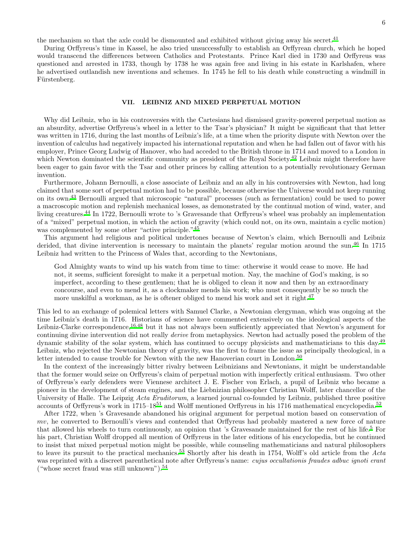the mechanism so that the axle could be dismounted and exhibited without giving away his secret.<sup>[41](#page-8-13)</sup>

During Orffyreus's time in Kassel, he also tried unsuccessfully to establish an Orffyrean church, which he hoped would transcend the differences between Catholics and Protestants. Prince Karl died in 1730 and Orffyreus was questioned and arrested in 1733, though by 1738 he was again free and living in his estate in Karlshafen, where he advertised outlandish new inventions and schemes. In 1745 he fell to his death while constructing a windmill in Fürstenberg.

## VII. LEIBNIZ AND MIXED PERPETUAL MOTION

Why did Leibniz, who in his controversies with the Cartesians had dismissed gravity-powered perpetual motion as an absurdity, advertise Orffyreus's wheel in a letter to the Tsar's physician? It might be significant that that letter was written in 1716, during the last months of Leibniz's life, at a time when the priority dispute with Newton over the invention of calculus had negatively impacted his international reputation and when he had fallen out of favor with his employer, Prince Georg Ludwig of Hanover, who had acceded to the British throne in 1714 and moved to a London in which Newton dominated the scientific community as president of the Royal Society.<sup>[42](#page-8-14)</sup> Leibniz might therefore have been eager to gain favor with the Tsar and other princes by calling attention to a potentially revolutionary German invention.

Furthermore, Johann Bernoulli, a close associate of Leibniz and an ally in his controversies with Newton, had long claimed that some sort of perpetual motion had to be possible, because otherwise the Universe would not keep running on its own.[43](#page-8-15) Bernoulli argued that microscopic "natural" processes (such as fermentation) could be used to power a macroscopic motion and replenish mechanical losses, as demonstrated by the continual motion of wind, water, and living creatures.<sup>[44](#page-8-16)</sup> In 1722, Bernoulli wrote to 's Gravesande that Orffyreus's wheel was probably an implementation of a "mixed" perpetual motion, in which the action of gravity (which could not, on its own, maintain a cyclic motion) was complemented by some other "active principle."<sup>[45](#page-8-17)</sup>

This argument had religious and political undertones because of Newton's claim, which Bernoulli and Leibniz derided, that divine intervention is necessary to maintain the planets' regular motion around the sun.<sup>[46](#page-8-18)</sup> In 1715 Leibniz had written to the Princess of Wales that, according to the Newtonians,

God Almighty wants to wind up his watch from time to time: otherwise it would cease to move. He had not, it seems, sufficient foresight to make it a perpetual motion. Nay, the machine of God's making, is so imperfect, according to these gentlemen; that he is obliged to clean it now and then by an extraordinary concourse, and even to mend it, as a clockmaker mends his work; who must consequently be so much the more unskilful a workman, as he is oftener obliged to mend his work and set it right[.](#page-8-19)<sup>47</sup>

This led to an exchange of polemical letters with Samuel Clarke, a Newtonian clergyman, which was ongoing at the time Leibniz's death in 1716. Historians of science have commented extensively on the ideological aspects of the Leibniz-Clarke correspondence,<sup>[16](#page-7-11)[,48](#page-8-20)</sup> but it has not always been sufficiently appreciated that Newton's argument for continuing divine intervention did not really derive from metaphysics. Newton had actually posed the problem of the dynamic stability of the solar system, which has continued to occupy physicists and mathematicians to this day.[49](#page-8-21) Leibniz, who rejected the Newtonian theory of gravity, was the first to frame the issue as principally theological, in a letter intended to cause trouble for Newton with the new Hanoverian court in London.<sup>[50](#page-8-22)</sup>

In the context of the increasingly bitter rivalry between Leibnizians and Newtonians, it might be understandable that the former would seize on Orffyreus's claim of perpetual motion with imperfectly critical enthusiasm. Two other of Orffyreus's early defenders were Viennese architect J. E. Fischer von Erlach, a pupil of Leibniz who became a pioneer in the development of steam engines, and the Liebnizian philosopher Christian Wolff, later chancellor of the University of Halle. The Leipzig Acta Eruditorum, a learned journal co-founded by Leibniz, published three positive accounts of Orffyreus's work in 1715–18<sup>[51](#page-8-23)</sup> and Wolff mentioned Orffyreus in his 1716 mathematical encyclopedia.<sup>[52](#page-9-0)</sup>

After 1722, when 's Gravesande abandoned his original argument for perpetual motion based on conservation of mv, he converted to Bernoulli's views and contended that Orffyreus had probably mastered a new force of nature that allowed his wheels to turn continuously, an opinion that 's Gravesande maintained for the rest of his life[.](#page-7-1)<sup>5</sup> For his part, Christian Wolff dropped all mention of Orffyreus in the later editions of his encyclopedia, but he continued to insist that mixed perpetual motion might be possible, while counseling mathematicians and natural philosophers to leave its pursuit to the practical mechanics.<sup>[53](#page-9-1)</sup> Shortly after his death in 1754, Wolff's old article from the  $Acta$ was reprinted with a discreet parenthetical note after Orffyreus's name: cujus occultationis fraudes adbuc ignoti erant ("whose secret fraud was still unknown").<sup>[54](#page-9-2)</sup>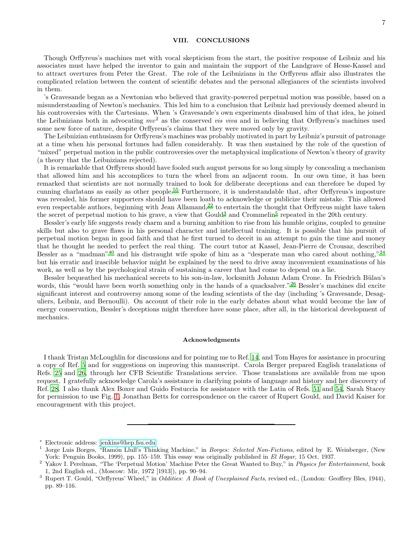## VIII. CONCLUSIONS

Though Orffyreus's machines met with vocal skepticism from the start, the positive response of Leibniz and his associates must have helped the inventor to gain and maintain the support of the Landgrave of Hesse-Kassel and to attract overtures from Peter the Great. The role of the Leibnizians in the Orffyreus affair also illustrates the complicated relation between the content of scientific debates and the personal allegiances of the scientists involved in them.

's Gravesande began as a Newtonian who believed that gravity-powered perpetual motion was possible, based on a misunderstanding of Newton's mechanics. This led him to a conclusion that Leibniz had previously deemed absurd in his controversies with the Cartesians. When 's Gravesande's own experiments disabused him of that idea, he joined the Leibnizians both in advocating  $mv^2$  as the conserved vis viva and in believing that Orffyreus's machines used some new force of nature, despite Orffyreus's claims that they were moved only by gravity.

The Leibnizian enthusiasm for Orffyreus's machines was probably motivated in part by Leibniz's pursuit of patronage at a time when his personal fortunes had fallen considerably. It was then sustained by the role of the question of "mixed" perpetual motion in the public controversies over the metaphysical implications of Newton's theory of gravity (a theory that the Leibnizians rejected).

It is remarkable that Orffyreus should have fooled such august persons for so long simply by concealing a mechanism that allowed him and his accomplices to turn the wheel from an adjacent room. In our own time, it has been remarked that scientists are not normally trained to look for deliberate deceptions and can therefore be duped by cunning charlatans as easily as other people.[55](#page-9-3) Furthermore, it is understandable that, after Orffyreus's imposture was revealed, his former supporters should have been loath to acknowledge or publicize their mistake. This allowed even respectable authors, beginning with Jean Allamand,<sup>[22](#page-7-17)</sup> to entertain the thought that Orffyreus might have taken the secret of perpetual motion to his grave, a view that Gould<sup>[3](#page-6-3)</sup> and Crommelin<sup>[5](#page-7-1)</sup> repeated in the 20th century.

Bessler's early life suggests ready charm and a burning ambition to rise from his humble origins, coupled to genuine skills but also to grave flaws in his personal character and intellectual training. It is possible that his pursuit of perpetual motion began in good faith and that he first turned to deceit in an attempt to gain the time and money that he thought he needed to perfect the real thing. The court tutor at Kassel, Jean-Pierre de Crousaz, described Bessler as a "madman"[40](#page-8-12) and his distraught wife spoke of him as a "desperate man who cared about nothing,"[24](#page-7-19) but his erratic and irascible behavior might be explained by the need to drive away inconvenient examinations of his work, as well as by the psychological strain of sustaining a career that had come to depend on a lie.

Bessler bequeathed his mechanical secrets to his son-in-law, locksmith Johann Adam Crone. In Friedrich Bülau's words, this "would have been worth something only in the hands of a quacksalver."<sup>[26](#page-7-21)</sup> Bessler's machines did excite significant interest and controversy among some of the leading scientists of the day (including 's Gravesande, Desaguliers, Leibniz, and Bernoulli). On account of their role in the early debates about what would become the law of energy conservation, Bessler's deceptions might therefore have some place, after all, in the historical development of mechanics.

### Acknowledgments

I thank Tristan McLoughlin for discussions and for pointing me to Ref. [14,](#page-7-9) and Tom Hayes for assistance in procuring a copy of Ref. [5](#page-7-1) and for suggestions on improving this manuscript. Carola Berger prepared English translations of Refs. [25](#page-7-20) and [26](#page-7-21), through her CFB Scientific Translations service. Those translations are available from me upon request. I gratefully acknowledge Carola's assistance in clarifying points of language and history and her discovery of Ref. [28.](#page-8-0) I also thank Alex Boxer and Guido Festuccia for assistance with the Latin of Refs. [51](#page-8-23) and [54](#page-9-2), Sarah Stacey for permission to use Fig. [1,](#page-1-0) Jonathan Betts for correspondence on the career of Rupert Gould, and David Kaiser for encouragement with this project.

<sup>∗</sup> Electronic address: [jenkins@hep.fsu.edu](mailto:jenkins@hep.fsu.edu)

<span id="page-6-1"></span><span id="page-6-0"></span><sup>1</sup> Jorge Luis Borges, "Ramón Llull's Thinking Machine," in Borges: Selected Non-Fictions, edited by E. Weinberger, (New York: Penguin Books, 1999), pp. 155–159. This essay was originally published in El Hogar, 15 Oct. 1937.

<span id="page-6-2"></span>Yakov I. Perelman, "The 'Perpetual Motion' Machine Peter the Great Wanted to Buy," in Physics for Entertainment, book 1, 2nd English ed., (Moscow: Mir, 1972 [1913]), pp. 90–94.

<span id="page-6-3"></span><sup>&</sup>lt;sup>3</sup> Rupert T. Gould, "Orffyreus' Wheel," in *Oddities: A Book of Unexplained Facts*, revised ed., (London: Geoffrey Bles, 1944), pp. 89–116.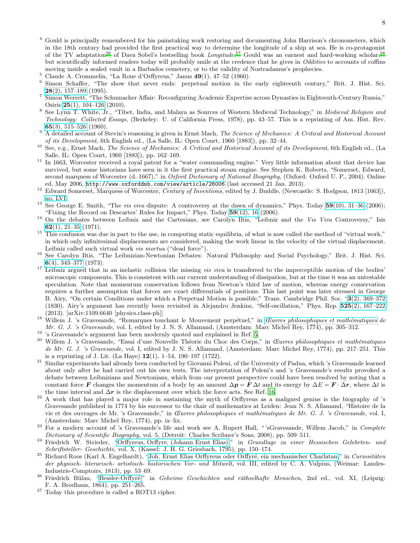- <span id="page-7-0"></span><sup>4</sup> Gould is principally remembered for his painstaking work restoring and documenting John Harrison's chronometers, which in the 18th century had provided the first practical way to determine the longitude of a ship at sea. He is co-protagonist of the TV adaptatio[n](#page-9-4)<sup>56</sup> of Dava Sobel's bestselling book *Longitude*[.](#page-9-5)<sup>57</sup> Gould was an earnest and hard-working scholar[,](#page-9-6)<sup>58</sup> but scientifically informed readers today will probably smile at the credence that he gives in Oddities to accounts of coffins moving inside a sealed vault in a Barbados cemetery, or to the validity of Nostradamus's prophecies.
- <span id="page-7-1"></span><sup>5</sup> Claude A. Crommelin, "La Roue d'Orffyreus," Janus 49(1), 47–52 (1960).
- 6 Simon Schaffer, "The show that never ends: perpetual motion in the early eighteenth century," Brit. J. Hist. Sci. 28[\(2\), 157–189](http://www.jstor.org/stable/4027676) (1995).
- <span id="page-7-2"></span><sup>7</sup> Simon Werrett, "The Schumacher Affair: Reconfiguring Academic Expertise across Dynasties in Eighteenth-Century Russia," Osiris 25[\(1\), 104–126](http://www.jstor.org/stable/10.1086/657265) (2010).
- <span id="page-7-3"></span><sup>8</sup> See Lynn T. White, Jr., "Tibet, India, and Malaya as Sources of Western Medieval Technology," in Medieval Religion and Technology: Collected Essays, (Berkeley: U. of California Press, 1978), pp. 43–57. This is a reprinting of Am. Hist. Rev. 65[\(3\), 515–526](http://www.jstor.org/stable/1849619) (1960).
- <span id="page-7-4"></span> $9 \text{ A detailed account of Stevin's reasoning is given in Ernst Mach, } The Science of Mechanics: A Critical and Historical Account.$ of its Development, 6th English ed., (La Salle, IL: Open Court, 1960 [1883]), pp. 32–44.
- <span id="page-7-5"></span><sup>10</sup> See, e.g., Ernst Mach, *The Science of Mechanics: A Critical and Historical Account of its Development*, 6th English ed., (La Salle, IL: Open Court, 1960 [1883]), pp. 162–169.
- <span id="page-7-6"></span><sup>11</sup> In 1663, Worcester received a royal patent for a "water commanding engine." Very little information about that device has survived, but some historians have seen in it the first practical steam engine. See Stephen K. Roberts, "Somerset, Edward, second marquess of Worcester (d. 1667)," in Oxford Dictionary of National Biography, (Oxford: Oxford U. P., 2004). Online ed. May 2006, <http://www.oxforddnb.com/view/article/26006> (last accessed 21 Jan. 2013).
- <span id="page-7-7"></span><sup>12</sup> Edward Somerset, Marquess of Worcester, Century of Inventions, edited by J. Buddle, (Newcastle: S. Hodgson, 1813 [1663]), [no. LVI.](http://archive.org/stream/marquisofworcest00worcrich#page/22/mode/2up)
- <span id="page-7-8"></span><sup>13</sup> See George E. Smith, "The *vis viva* dispute: A controversy at the dawn of dynamics," Phys. Today  $59(10)$ ,  $31-36$   $(2006)$ ; "Fixing the Record on Descartes' Rules for Impact," Phys. Today  $59(12)$ , 16 (2006).
- <span id="page-7-9"></span><sup>14</sup> On the debates between Leibniz and the Cartesians, see Carolyn Iltis, "Leibniz and the Vis Viva Controversy," Isis 62[\(1\), 21–35](http://www.jstor.org/stable/228997) (1971).
- <span id="page-7-10"></span><sup>15</sup> This confusion was due in part to the use, in computing static equilibria, of what is now called the method of "virtual work," in which only infinitesimal displacements are considered, making the work linear in the velocity of the virtual displacement. Leibniz called such virtual work *vis mortua* ("dead force").
- <span id="page-7-11"></span><sup>16</sup> See Carolyn Iltis, "The Leibnizian-Newtonian Debates: Natural Philosophy and Social Psychology," Brit. J. Hist. Sci. 6[\(4\), 343–377](http://www.jstor.org/stable/4025501) (1973).
- <span id="page-7-12"></span> $17$  Leibniz argued that in an inelastic collision the missing *vis viva* is transferred to the imperceptible motion of the bodies' microscopic components. This is consistent with our current understanding of dissipation, but at the time it was an untestable speculation. Note that momentum conservation follows from Newton's third law of motion, whereas energy conservation requires a further assumption that forces are exact differentials of positions. This last point was later stressed in George B. Airy, "On certain Conditions under which a Perpetual Motion is possible," Trans. Cambridge Phil. Soc. "3[\(2\), 369–372](http://books.google.com/books?id=oxpYAAAAYAAJ&pg=PA369) (1830). Airy's argument has recently been revisited in Alejandro Jenkins, "Self-oscillation," Phys. Rep. 525[\(2\), 167–222](http://dx.doi.org/10.1016/j.physrep.2012.10.007) (2013). [arXiv:1109.6640 [physics.class-ph]]
- <span id="page-7-13"></span><sup>18</sup> Willem J. 's Gravesande, "Remarques touchant le Mouvement perpétuel," in *Œuvres philosophiques et mathématiques de* Mr. G. J. 's Gravesande, vol. I, edited by J. N. S. Allamand, (Amsterdam: Marc Michel Rey, 1774), pp. 305–312.
- <span id="page-7-14"></span><sup>19</sup> 's Gravesande's argument has been modernly quoted and explained in Ref. [5](#page-7-1).
- <span id="page-7-15"></span><sup>20</sup> Willem J. 's Gravesande, "Essai d'une Nouvelle Théorie du Choc des Corps," in *Œuvres philosophiques et mathématiques* de Mr. G. J. 's Gravesande, vol. I, edited by J. N. S. Allamand, (Amsterdam: Marc Michel Rey, 1774), pp. 217–251. This is a reprinting of J. Lit. (La Haye)  $12(1)$ ,  $1-54$ ,  $190-197$  (1722).
- <span id="page-7-16"></span><sup>21</sup> Similar experiments had already been conducted by Giovanni Poleni, of the University of Padua, which 's Gravesande learned about only after he had carried out his own tests. The interpretation of Poleni's and 's Gravesande's results provoked a debate between Leibnizians and Newtonians, which from our present perspective could have been resolved by noting that a constant force F changes the momentum of a body by an amount  $\Delta p = F \Delta t$  and its energy by  $\Delta E = F \cdot \Delta r$ , where  $\Delta t$  is the time interval and  $\Delta r$  is the displacement over which the force acts. See Ref. [16.](#page-7-11)
- <span id="page-7-17"></span><sup>22</sup> A work that has played a major role in sustaining the myth of Orffyreus as a maligned genius is the biography of 's Gravesande published in 1774 by his successor to the chair of mathematics at Leiden: Jean N. S. Allamand, "Histoire de la vie et des ouvrages de Mr. 's Gravesande," in *Œuvres philosophiques et mathématiques de Mr. G. J. 's Gravesande*, vol. I, (Amsterdam: Marc Michel Rey, 1774), pp. ix–lix.
- <span id="page-7-18"></span><sup>23</sup> For a modern account of 's Gravesande's life and work see A. Rupert Hall, "'sGravesande, Willem Jacob," in Complete Dictionary of Scientific Biography, vol. 5, (Detroit: Charles Scribner's Sons, 2008), pp. 509–511.
- <span id="page-7-19"></span><sup>24</sup> Friedrich W. Strieder, ["Orffyreus, Orffyre, \(Johann Ernst Elias\),](http://books.google.co.cr/books?id=M7lLAAAAcAAJ&pg=PA138)" in Grundlage zu einer Hessischen Gelehrten- und Schriftsteller- Geschichte, vol. X, (Kassel: J. H. G. Griesbach, 1795), pp. 150–174.
- <span id="page-7-20"></span><sup>25</sup> Richard Roos (Karl A. Engelhardt), "Joh. Ernst Elias Orffyreus oder Orffyré, ein mechanischer Charlatan," in Curiositäten der physisch- literarisch- artistisch- historischen Vor- und Mitwelt, vol. III, edited by C. A. Vulpius, (Weimar: Landes-Industrie-Comptoirs, 1813), pp. 53–69.
- <span id="page-7-21"></span><sup>26</sup> Friedrich Bülau, "Bessler-Orffyré," in Geheime Geschichten und räthselhafte Menschen, 2nd ed., vol. XI, (Leipzig: F. A. Brodhaus, 1864), pp. 251–265.
- <span id="page-7-22"></span><sup>27</sup> Today this procedure is called a ROT13 cipher.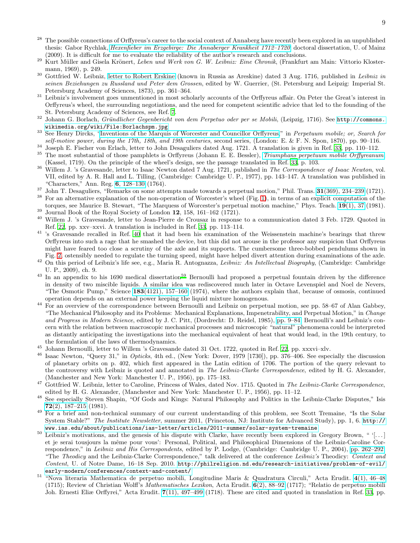- <span id="page-8-0"></span><sup>28</sup> The possible connections of Orffyreus's career to the social context of Annaberg have recently been explored in an unpublished thesis: Gabor Rychlak, [Hexenfieber im Erzgebirge: Die Annaberger Krankheit 1712–1720](http://ubm.opus.hbz-nrw.de/volltexte/2009/2159/), doctoral dissertation, U. of Mainz (2009). It is difficult for me to evaluate the reliability of the author's research and conclusions.
- <span id="page-8-1"></span><sup>29</sup> Kurt Müller and Gisela Krönert, Leben und Werk von G. W. Leibniz: Eine Chronik, (Frankfurt am Main: Vittorio Klostermann, 1969), p. 249.
- <span id="page-8-2"></span><sup>30</sup> Gottfried W. Leibniz, [letter to Robert Erskine](http://archive.org/stream/leibnizinseinen02guergoog#page/n643/mode/2up/s) (known in Russia as Areskine) dated 3 Aug. 1716, published in Leibniz in seinen Beziehungen zu Russland und Peter dem Grossen, edited by W. Guerrier, (St. Petersburg and Leipzig: Imperial St. Petersburg Academy of Sciences, 1873), pp. 361–364.
- <span id="page-8-3"></span>Leibniz's involvement goes unmentioned in most scholarly accounts of the Orffyreus affair. On Peter the Great's interest in Orffyreus's wheel, the surrounding negotiations, and the need for competent scientific advice that led to the founding of the St. Petersburg Academy of Sciences, see Ref. [7.](#page-7-2)
- <span id="page-8-4"></span><sup>32</sup> Johann G. Borlach, Gründlicher Gegenbericht von dem Perpetuo oder per se Mobili, (Leipzig, 1716). See [http://commons.](http://commons.wikimedia.org/wiki/File:Borlachspm.jpg) [wikimedia.org/wiki/File:Borlachspm.jpg](http://commons.wikimedia.org/wiki/File:Borlachspm.jpg)
- <span id="page-8-5"></span><sup>33</sup> See Henry Dircks, ["Inventions of the Marquis of Worcester and Councillor Orffyreus,](http://archive.org/stream/perpetuummobile00dircgoog#page/n124/mode/2up)" in Perpetuum mobile; or, Search for self-motive power, during the 17th, 18th, and 19th centuries, second series, (London: E. & F. N. Spon, 1870), pp. 90–116.
- <span id="page-8-6"></span><sup>34</sup> Joseph E. Fischer von Erlach, letter to John Desaguliers dated Aug. 1721. A translation is given in Ref. [33](#page-8-5), pp. 110–112.
- <span id="page-8-7"></span> $35$  The most substantial of those pamphlets is Orffyreus (Johann E. E. Bessler), Trumphans perpetuum mobile Orffyreanum, (Kassel, 1719). On the principle of the wheel's design, see the passage translated in Ref. [33](#page-8-5), p. 103.
- <span id="page-8-8"></span><sup>36</sup> Willem J. 's Gravesande, letter to Isaac Newton dated 7 Aug. 1721, published in The Correspondence of Isaac Newton, vol. VII, edited by A. R. Hall and L. Tilling, (Cambridge: Cambridge U. P., 1977), pp. 143–147. A translation was published in "Characters," Ann. Reg. 6[, 128–130](http://www.bodley.ox.ac.uk/cgi-bin/ilej/image1.pl?item=page&seq=1&size=1&id=ar.1763.x.x.6.x.a.128) (1764).
- <span id="page-8-9"></span><sup>37</sup> John T. Desaguliers, "Remarks on some attempts made towards a perpetual motion," Phil. Trans. **31**[\(369\), 234–239](http://dx.doi.org/10.1098/rstl.1720.0059) (1721). <sup>38</sup> For an alternative explanation of the non-operation of Worcester's wheel (Fig. [1\)](#page-1-0), in terms of an explicit computation of the
- <span id="page-8-10"></span>torques, see Maurice B. Stewart, "The Marquess of Worcester's perpetual motion machine," Phys. Teach. 19[\(1\), 37](http://dx.doi.org/10.1119/1.2340677) (1981). <sup>39</sup> Journal Book of the Royal Society of London 12, 158, 161–162 (1721).<br><sup>40</sup> Willom L<sub>3</sub><sup>2</sup> Crosscope la latter to Lap Biama de Crosscopia proposals
- <span id="page-8-12"></span><span id="page-8-11"></span><sup>40</sup> Willem J. 's Gravesande, letter to Jean-Pierre de Crousaz in response to a communication dated 3 Feb. 1729. Quoted in Ref. [22](#page-7-17), pp. xxv–xxvi. A translation is included in Ref. [33,](#page-8-5) pp. 113–114.
- <span id="page-8-13"></span><sup>41</sup> 's Gravesande recalled in Ref. [40](#page-8-12) that it had been his examination of the Weissenstein machine's bearings that threw Orffyreus into such a rage that he smashed the device, but this did not arouse in the professor any suspicion that Orffyreus might have feared too close a scrutiny of the axle and its supports. The cumbersome three-bobbed pendulums shown in Fig. [2,](#page-3-0) ostensibly needed to regulate the turning speed, might have helped divert attention during examinations of the axle.
- <span id="page-8-14"></span> $\frac{42}{2}$  On this period of Leibniz's life see, e.g., Maria R. Antognazza, Leibniz: An Intellectual Biography, (Cambridge: Cambridge U. P., 2009), ch. 9.
- <span id="page-8-15"></span> $^{43}$  I[n](#page-9-7) an appendix to his 1690 medical dissertation<sup>59</sup> Bernoulli had proposed a perpetual fountain driven by the difference in density of two miscible liquids. A similar idea was rediscovered much later in Octave Levenspiel and Noel de Nevers, "The Osmotic Pump," Science  $183(4121)$ ,  $157-160$  (1974), where the authors explain that, because of osmosis, continued operation depends on an external power keeping the liquid mixture homogenous.
- <span id="page-8-16"></span><sup>44</sup> For an overview of the correspondence between Bernoulli and Leibniz on perpetual motion, see pp. 58–67 of Alan Gabbey, "The Mechanical Philosophy and its Problems: Mechanical Explanations, Impenetrability, and Perpetual Motion," in Change and Progress in Modern Science, edited by J. C. Pitt, (Dordrecht: D. Reidel, 1985), [pp. 9–84.](http://dx.doi.org/10.1007/978-94-009-6525-6_2) Bernoulli's and Leibniz's concern with the relation between macroscopic mechanical processes and microscopic "natural" phenomena could be interpreted as distantly anticipating the investigations into the mechanical equivalent of heat that would lead, in the 19th century, to the formulation of the laws of thermodynamics.
- <span id="page-8-17"></span><sup>45</sup> Johann Bernoulli, letter to Willem 's Gravesande dated 31 Oct. 1722, quoted in Ref. [22](#page-7-17), pp. xxxvi–xlv.<br><sup>46</sup> Jones Nouton, "Quory 31," in *Ontiche 4th ed.* (Now York: Dover, 1979, 1979)), pp. 376, 406, See eme
- <span id="page-8-18"></span><sup>46</sup> Isaac Newton, "Query 31," in Opticks, 4th ed., (New York: Dover, 1979 [1730]), pp. 376–406. See especially the discussion of planetary orbits on p. 402, which first appeared in the Latin edition of 1706. The portion of the query relevant to the controversy with Leibniz is quoted and annotated in The Leibniz-Clarke Correspondence, edited by H. G. Alexander, (Manchester and New York: Manchester U. P., 1956), pp. 175–183.
- <span id="page-8-19"></span><sup>47</sup> Gottfried W. Leibniz, letter to Caroline, Princess of Wales, dated Nov. 1715. Quoted in The Leibniz-Clarke Correspondence, edited by H. G. Alexander, (Manchester and New York: Manchester U. P., 1956), pp. 11–12.
- <span id="page-8-20"></span><sup>48</sup> See especially Steven Shapin, "Of Gods and Kings: Natural Philosophy and Politics in the Leibniz-Clarke Disputes," Isis 72[\(2\), 187–215](http://www.jstor.org/stable/230969) (1981).
- <span id="page-8-21"></span><sup>49</sup> For a brief and non-technical summary of our current understanding of this problem, see Scott Tremaine, "Is the Solar System Stable?" The Institute Newsletter, summer 2011, (Princeton, NJ: Institute for Advanced Study), pp. 1, 6. [http://](http://www.ias.edu/about/publications/ias-letter/articles/2011-summer/solar-system-tremaine) [www.ias.edu/about/publications/ias-letter/articles/2011-summer/solar-system-tremaine](http://www.ias.edu/about/publications/ias-letter/articles/2011-summer/solar-system-tremaine)
- <span id="page-8-22"></span> $50$  Leibniz's motivations, and the genesis of his dispute with Clarke, have recently been explored in Gregory Brown, " $[...]$ et je serai tousjours la même pour vous': Personal, Political, and Philosophical Dimensions of the Leibniz-Caroline Correspondence," in Leibniz and His Correspondents, edited by P. Lodge, (Cambridge: Cambridge U. P., 2004), pp. [262–292;](http://dx.doi.org/10.1017/CBO9780511498237.012) "The Theodicy and the Leibniz-Clarke Correspondence," talk delivered at the conference Leibniz's Theodicy: Context and Content, U. of Notre Dame, 16–18 Sep. 2010. [http://philreligion.nd.edu/research-initiatives/problem-of-evil/](http://philreligion.nd.edu/research-initiatives/problem-of-evil/early-modern/conferences/context-and-content/) [early-modern/conferences/context-and-content/](http://philreligion.nd.edu/research-initiatives/problem-of-evil/early-modern/conferences/context-and-content/)
- <span id="page-8-23"></span><sup>51</sup> "Nova literaria Mathematica de perpetuo mobili, Longitudine Maris & Quadratura Circuli," Acta Erudit. 4[\(1\), 46–48](http://books.google.co.cr/books?id=WiPuAVqa0u4C&pg=PA46) (1715); Review of Christian Wolff's Mathematisches Lexikon, Acta Erudit. 6[\(2\), 88–92](http://books.google.co.cr/books?id=xa9RAAAAcAAJ&pg=PA88) (1717); "Relatio de perpetuo mobili Joh. Ernesti Eliæ Orffyrei," Acta Erudit. 7[\(11\), 497–499](http://books.google.co.cr/books?id=5q9RAAAAcAAJ&pg=PA497) (1718). These are cited and quoted in translation in Ref. [33](#page-8-5), pp.